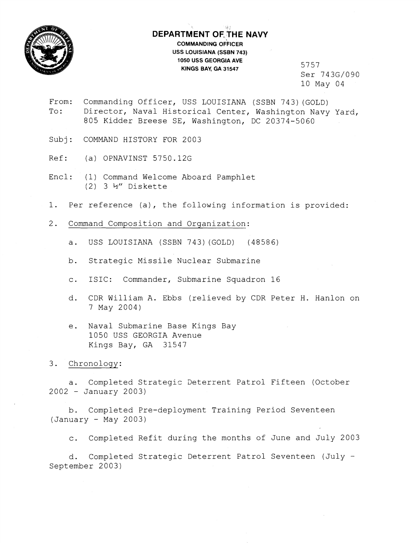

## **DEPARTMENT OF. THE NAVY COMMANDING OFFICER USS LOUISIANA (SSBN 743) 1050 USS GEORGIA AVE KINGS BAY, GA 31547** 5757

Ser 743G/090 10 May 04

- From: Commanding Officer, USS LOUISIANA (SSBN 743) (GOLD) To: Director, Naval Historical Center, Washington Navy Yard, 805 Kidder Breese SE, Washington, DC 20374-5060
- Subj: COMMAND HISTORY FOR 2003
- Ref: (a) OPNAVINST 5750.12G
- Encl: (1) Command Welcome Aboard Pamphlet  $(2)$  3  $\frac{1}{2}$  Diskette
- 1. Per reference (a), the following information is provided:
- 2. Command Composition and Organization:
	- a. USS LOUISIANA (SSBN 743) (GOLD) (48586)
	- b. Strategic Missile Nuclear Submarine
	- c. ISIC: Commander, Submarine Squadron 16
	- d. CDR William A. Ebbs (relieved by CDR Peter H. Hanlon on 7 May 2004)
	- e. Naval Submarine Base Kings Bay 1050 USS GEORGIA Avenue Kings Bay, GA 31547

3. Chronology:

a. Completed Strategic Deterrent Patrol Fifteen (October <sup>2002</sup>- January 2003)

b. Completed Pre-deployment Training Period Seventeen (January - May 2003)

c. Completed Refit during the months of June and July 2003

d. Completed Strategic Deterrent Patrol Seventeen (July - September 2003)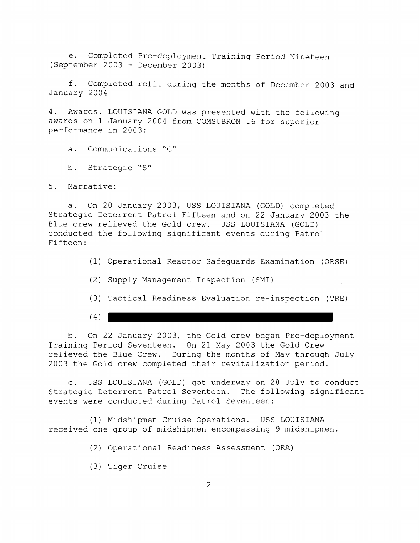e. Completed Pre-deployment Training Period Nineteen (September 2003 - December 2003)

f. Completed refit during the months of December 2003 and January 2004

4. Awards. LOUISIANA GOLD was presented with the following awards on 1 January 2004 from COMSUBRON 16 for superior performance in 2003:

a. Communications "C"

b. Strategic "S"

5. Narrative:

a. On 20 January 2003, USS LOUISIANA (GOLD) completed Strategic Deterrent Patrol Fifteen and on 22 January 2003 the Blue crew relieved the Gold crew. USS LOUISIANA (GOLD) conducted the following significant events during Patrol Fifteen:

- (1) Operational Reactor Safeguards Examination (ORSE)
- (2) Supply Management Inspection (SMI)
- (3) Tactical Readiness Evaluation re-inspection (TRE)
- $(4)$

b. On 22 January 2003, the Gold crew began Pre-deployment Training Period Seventeen. On 21 May 2003 the Gold Crew relieved the Blue Crew. During the months of May through July 2003 the Gold crew completed their revitalization period.

c. USS LOUISIANA (GOLD) got underway on 28 July to conduct Strategic Deterrent Patrol Seventeen. The following significant events were conducted during Patrol Seventeen:

(1) Midshipmen Cruise Operations. USS LOUISIANA received one group of midshipmen encompassing 9 midshipmen.

- (2) Operational Readiness Assessment (ORA)
- (3) Tiger Cruise